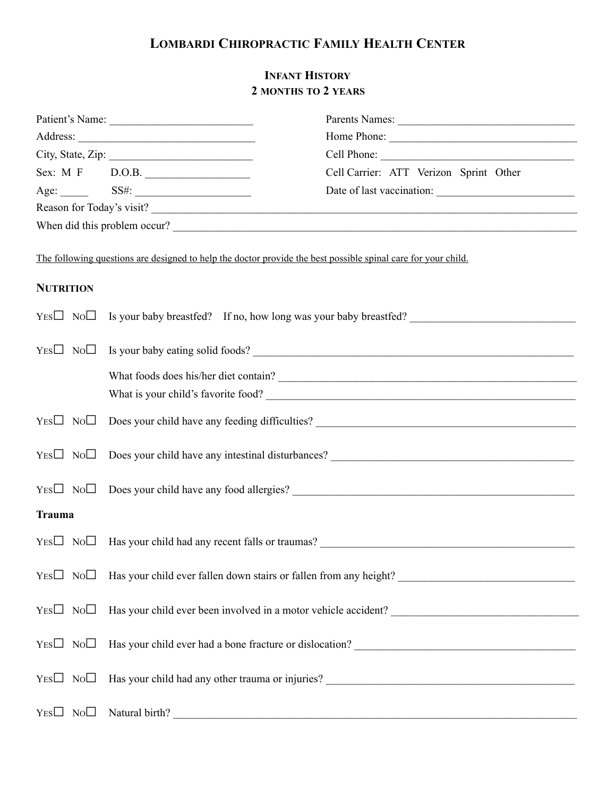## **LOMBARDI CHIROPRACTIC FAMILY HEALTH CENTER**

## **INFANT HISTORY 2 MONTHS TO 2 YEARS**

|                           | Patient's Name:                                                                                               |                                                                                       |  |
|---------------------------|---------------------------------------------------------------------------------------------------------------|---------------------------------------------------------------------------------------|--|
|                           |                                                                                                               |                                                                                       |  |
|                           |                                                                                                               | Cell Phone:                                                                           |  |
|                           | Sex: M F D.O.B.                                                                                               | Cell Carrier: ATT Verizon Sprint Other                                                |  |
|                           |                                                                                                               |                                                                                       |  |
| Reason for Today's visit? |                                                                                                               |                                                                                       |  |
|                           |                                                                                                               | When did this problem occur?                                                          |  |
|                           | The following questions are designed to help the doctor provide the best possible spinal care for your child. |                                                                                       |  |
| <b>NUTRITION</b>          |                                                                                                               |                                                                                       |  |
|                           |                                                                                                               | $YES \Box \ No \Box$ Is your baby breastfed? If no, how long was your baby breastfed? |  |
|                           |                                                                                                               | $YES \Box \ No \Box$ Is your baby eating solid foods?                                 |  |
|                           |                                                                                                               | What foods does his/her diet contain?<br><u> </u>                                     |  |
|                           |                                                                                                               |                                                                                       |  |
|                           |                                                                                                               | $YES \Box \ No \Box \ Does your child have any feeding difficulties?$                 |  |
|                           |                                                                                                               | $YES \Box \ No \Box \ Does your child have any intestinal disturbances?$              |  |
|                           |                                                                                                               | $YES \Box \ No \Box \ Does your child have any food allergies?$                       |  |
| <b>Trauma</b>             |                                                                                                               |                                                                                       |  |
|                           | $YES \Box \ No \Box$ Has your child had any recent falls or traumas?                                          |                                                                                       |  |
|                           |                                                                                                               |                                                                                       |  |
|                           |                                                                                                               |                                                                                       |  |
|                           |                                                                                                               |                                                                                       |  |
|                           |                                                                                                               |                                                                                       |  |
| $Yes \Box No \Box$        |                                                                                                               |                                                                                       |  |